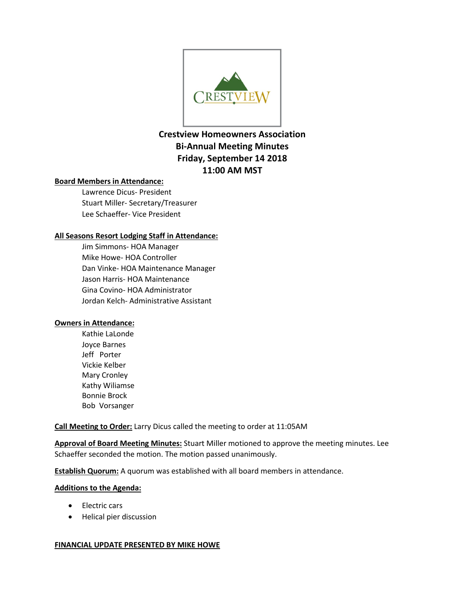

# **Crestview Homeowners Association Bi-Annual Meeting Minutes Friday, September 14 2018 11:00 AM MST**

## **Board Members in Attendance:**

Lawrence Dicus- President Stuart Miller- Secretary/Treasurer Lee Schaeffer- Vice President

## **All Seasons Resort Lodging Staff in Attendance:**

Jim Simmons- HOA Manager Mike Howe- HOA Controller Dan Vinke- HOA Maintenance Manager Jason Harris- HOA Maintenance Gina Covino- HOA Administrator Jordan Kelch- Administrative Assistant

## **Owners in Attendance:**

Kathie LaLonde Joyce Barnes Jeff Porter Vickie Kelber Mary Cronley Kathy Wiliamse Bonnie Brock Bob Vorsanger

**Call Meeting to Order:** Larry Dicus called the meeting to order at 11:05AM

**Approval of Board Meeting Minutes:** Stuart Miller motioned to approve the meeting minutes. Lee Schaeffer seconded the motion. The motion passed unanimously.

**Establish Quorum:** A quorum was established with all board members in attendance.

## **Additions to the Agenda:**

- Electric cars
- Helical pier discussion

## **FINANCIAL UPDATE PRESENTED BY MIKE HOWE**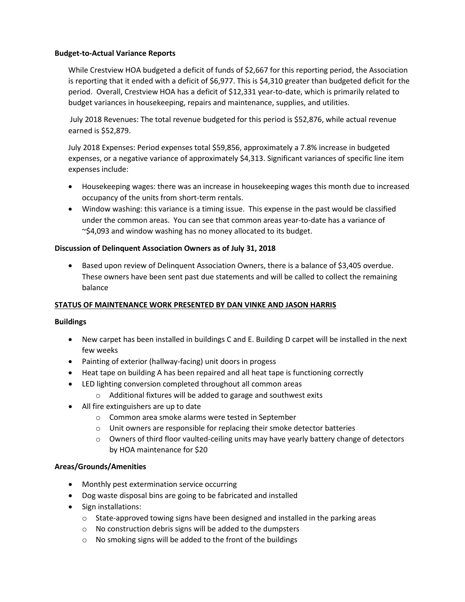#### **Budget-to-Actual Variance Reports**

While Crestview HOA budgeted a deficit of funds of \$2,667 for this reporting period, the Association is reporting that it ended with a deficit of \$6,977. This is \$4,310 greater than budgeted deficit for the period. Overall, Crestview HOA has a deficit of \$12,331 year-to-date, which is primarily related to budget variances in housekeeping, repairs and maintenance, supplies, and utilities.

July 2018 Revenues: The total revenue budgeted for this period is \$52,876, while actual revenue earned is \$52,879.

July 2018 Expenses: Period expenses total \$59,856, approximately a 7.8% increase in budgeted expenses, or a negative variance of approximately \$4,313. Significant variances of specific line item expenses include:

- Housekeeping wages: there was an increase in housekeeping wages this month due to increased occupancy of the units from short-term rentals.
- Window washing: this variance is a timing issue. This expense in the past would be classified under the common areas. You can see that common areas year-to-date has a variance of ~\$4,093 and window washing has no money allocated to its budget.

## **Discussion of Delinquent Association Owners as of July 31, 2018**

• Based upon review of Delinquent Association Owners, there is a balance of \$3,405 overdue. These owners have been sent past due statements and will be called to collect the remaining balance

## **STATUS OF MAINTENANCE WORK PRESENTED BY DAN VINKE AND JASON HARRIS**

## **Buildings**

- New carpet has been installed in buildings C and E. Building D carpet will be installed in the next few weeks
- Painting of exterior (hallway-facing) unit doors in progess
- Heat tape on building A has been repaired and all heat tape is functioning correctly
- LED lighting conversion completed throughout all common areas
	- o Additional fixtures will be added to garage and southwest exits
- All fire extinguishers are up to date
	- o Common area smoke alarms were tested in September
	- o Unit owners are responsible for replacing their smoke detector batteries
	- $\circ$  Owners of third floor vaulted-ceiling units may have yearly battery change of detectors by HOA maintenance for \$20

## **Areas/Grounds/Amenities**

- Monthly pest extermination service occurring
- Dog waste disposal bins are going to be fabricated and installed
- Sign installations:
	- $\circ$  State-approved towing signs have been designed and installed in the parking areas
	- o No construction debris signs will be added to the dumpsters
	- o No smoking signs will be added to the front of the buildings